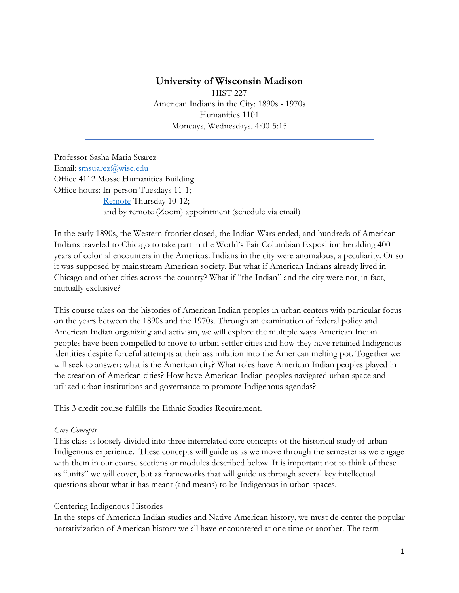## **University of Wisconsin Madison** HIST 227 American Indians in the City: 1890s - 1970s Humanities 1101 Mondays, Wednesdays, 4:00-5:15

Professor Sasha Maria Suarez Email: [smsuarez@wisc.edu](mailto:smsuarez@wisc.edu) Office 4112 Mosse Humanities Building Office hours: In-person Tuesdays 11-1; [Remote](https://uwmadison.zoom.us/j/91830217344?pwd=OURFV3dhbEs2NGI5eDNyUlNPS1ZmQT09) Thursday 10-12; and by remote (Zoom) appointment (schedule via email)

In the early 1890s, the Western frontier closed, the Indian Wars ended, and hundreds of American Indians traveled to Chicago to take part in the World's Fair Columbian Exposition heralding 400 years of colonial encounters in the Americas. Indians in the city were anomalous, a peculiarity. Or so it was supposed by mainstream American society. But what if American Indians already lived in Chicago and other cities across the country? What if "the Indian" and the city were not, in fact, mutually exclusive?

This course takes on the histories of American Indian peoples in urban centers with particular focus on the years between the 1890s and the 1970s. Through an examination of federal policy and American Indian organizing and activism, we will explore the multiple ways American Indian peoples have been compelled to move to urban settler cities and how they have retained Indigenous identities despite forceful attempts at their assimilation into the American melting pot. Together we will seek to answer: what is the American city? What roles have American Indian peoples played in the creation of American cities? How have American Indian peoples navigated urban space and utilized urban institutions and governance to promote Indigenous agendas?

This 3 credit course fulfills the Ethnic Studies Requirement.

#### *Core Concepts*

This class is loosely divided into three interrelated core concepts of the historical study of urban Indigenous experience. These concepts will guide us as we move through the semester as we engage with them in our course sections or modules described below. It is important not to think of these as "units" we will cover, but as frameworks that will guide us through several key intellectual questions about what it has meant (and means) to be Indigenous in urban spaces.

#### Centering Indigenous Histories

In the steps of American Indian studies and Native American history, we must de-center the popular narrativization of American history we all have encountered at one time or another. The term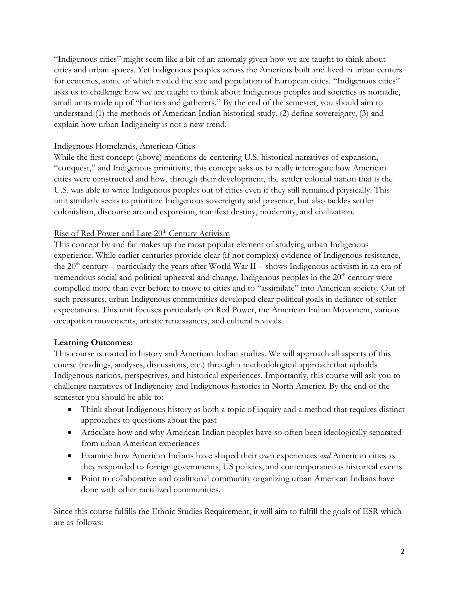"Indigenous cities" might seem like a bit of an anomaly given how we are taught to think about cities and urban spaces. Yet Indigenous peoples across the Americas built and lived in urban centers for centuries, some of which rivaled the size and population of European cities. "Indigenous cities" asks us to challenge how we are taught to think about Indigenous peoples and societies as nomadic, small units made up of "hunters and gatherers." By the end of the semester, you should aim to understand (1) the methods of American Indian historical study, (2) define sovereignty, (3) and explain how urban Indigeneity is not a new trend.

#### Indigenous Homelands, American Cities

While the first concept (above) mentions de-centering U.S. historical narratives of expansion, "conquest," and Indigenous primitivity, this concept asks us to really interrogate how American cities were constructed and how, through their development, the settler colonial nation that is the U.S. was able to write Indigenous peoples out of cities even if they still remained physically. This unit similarly seeks to prioritize Indigenous sovereignty and presence, but also tackles settler colonialism, discourse around expansion, manifest destiny, modernity, and civilization.

#### Rise of Red Power and Late 20<sup>th</sup> Century Activism

This concept by and far makes up the most popular element of studying urban Indigenous experience. While earlier centuries provide clear (if not complex) evidence of Indigenous resistance, the  $20<sup>th</sup>$  century – particularly the years after World War II – shows Indigenous activism in an era of tremendous social and political upheaval and change. Indigenous peoples in the  $20<sup>th</sup>$  century were compelled more than ever before to move to cities and to "assimilate" into American society. Out of such pressures, urban Indigenous communities developed clear political goals in defiance of settler expectations. This unit focuses particularly on Red Power, the American Indian Movement, various occupation movements, artistic renaissances, and cultural revivals.

#### **Learning Outcomes:**

This course is rooted in history and American Indian studies. We will approach all aspects of this course (readings, analyses, discussions, etc.) through a methodological approach that upholds Indigenous nations, perspectives, and historical experiences. Importantly, this course will ask you to challenge narratives of Indigeneity and Indigenous histories in North America. By the end of the semester you should be able to:

- Think about Indigenous history as both a topic of inquiry and a method that requires distinct approaches to questions about the past
- Articulate how and why American Indian peoples have so often been ideologically separated from urban American experiences
- Examine how American Indians have shaped their own experiences *and* American cities as they responded to foreign governments, US policies, and contemporaneous historical events
- Point to collaborative and coalitional community organizing urban American Indians have done with other racialized communities.

Since this course fulfills the Ethnic Studies Requirement, it will aim to fulfill the goals of ESR which are as follows: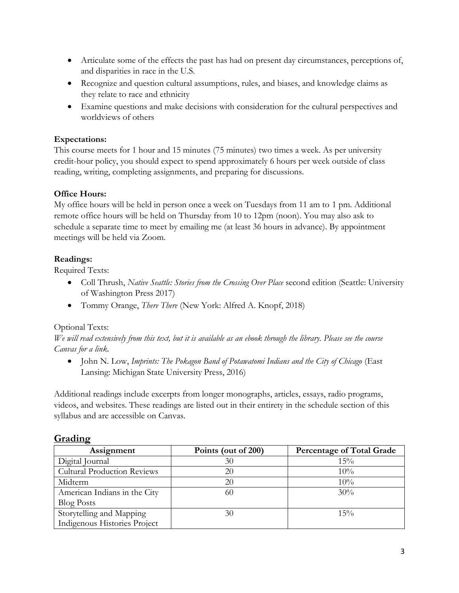- Articulate some of the effects the past has had on present day circumstances, perceptions of, and disparities in race in the U.S.
- Recognize and question cultural assumptions, rules, and biases, and knowledge claims as they relate to race and ethnicity
- Examine questions and make decisions with consideration for the cultural perspectives and worldviews of others

## **Expectations:**

This course meets for 1 hour and 15 minutes (75 minutes) two times a week. As per university credit-hour policy, you should expect to spend approximately 6 hours per week outside of class reading, writing, completing assignments, and preparing for discussions.

## **Office Hours:**

My office hours will be held in person once a week on Tuesdays from 11 am to 1 pm. Additional remote office hours will be held on Thursday from 10 to 12pm (noon). You may also ask to schedule a separate time to meet by emailing me (at least 36 hours in advance). By appointment meetings will be held via Zoom.

#### **Readings:**

Required Texts:

- Coll Thrush, *Native Seattle: Stories from the Crossing Over Place* second edition (Seattle: University of Washington Press 2017)
- Tommy Orange, *There There* (New York: Alfred A. Knopf, 2018)

#### Optional Texts:

*We will read extensively from this text, but it is available as an ebook through the library. Please see the course Canvas for a link.*

• John N. Low, *Imprints: The Pokagon Band of Potawatomi Indians and the City of Chicago* (East Lansing: Michigan State University Press, 2016)

Additional readings include excerpts from longer monographs, articles, essays, radio programs, videos, and websites. These readings are listed out in their entirety in the schedule section of this syllabus and are accessible on Canvas.

| Assignment                         | Points (out of 200) | <b>Percentage of Total Grade</b> |
|------------------------------------|---------------------|----------------------------------|
| Digital Journal                    | 30                  | 15%                              |
| <b>Cultural Production Reviews</b> | 20                  | 10%                              |
| Midterm                            | 20                  | 10%                              |
| American Indians in the City       | 60                  | 30%                              |
| <b>Blog Posts</b>                  |                     |                                  |
| Storytelling and Mapping           | 30                  | $15\%$                           |
| Indigenous Histories Project       |                     |                                  |

## **Grading**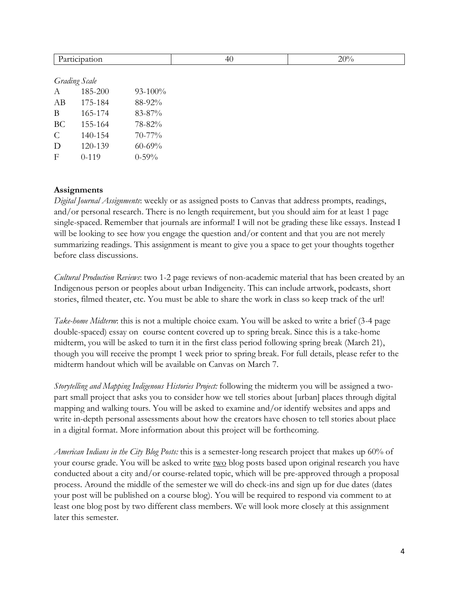|               | Participation        |             | 40 | 20% |
|---------------|----------------------|-------------|----|-----|
|               |                      |             |    |     |
|               | <b>Grading Scale</b> |             |    |     |
| $\mathbf{A}$  | 185-200              | $93-100%$   |    |     |
| AB            | 175-184              | 88-92%      |    |     |
| $\mathbf{B}$  | 165-174              | 83-87%      |    |     |
| BC            | 155-164              | 78-82%      |    |     |
| $\mathcal{C}$ | 140-154              | 70-77%      |    |     |
| $\mathbf D$   | 120-139              | $60 - 69\%$ |    |     |
| $\mathbf F$   | $0-119$              | $0 - 59\%$  |    |     |
|               |                      |             |    |     |

#### **Assignments**

*Digital Journal Assignments*: weekly or as assigned posts to Canvas that address prompts, readings, and/or personal research. There is no length requirement, but you should aim for at least 1 page single-spaced. Remember that journals are informal! I will not be grading these like essays. Instead I will be looking to see how you engage the question and/or content and that you are not merely summarizing readings. This assignment is meant to give you a space to get your thoughts together before class discussions.

*Cultural Production Reviews*: two 1-2 page reviews of non-academic material that has been created by an Indigenous person or peoples about urban Indigeneity. This can include artwork, podcasts, short stories, filmed theater, etc. You must be able to share the work in class so keep track of the url!

*Take-home Midterm*: this is not a multiple choice exam. You will be asked to write a brief (3-4 page double-spaced) essay on course content covered up to spring break. Since this is a take-home midterm, you will be asked to turn it in the first class period following spring break (March 21), though you will receive the prompt 1 week prior to spring break. For full details, please refer to the midterm handout which will be available on Canvas on March 7.

*Storytelling and Mapping Indigenous Histories Project:* following the midterm you will be assigned a twopart small project that asks you to consider how we tell stories about [urban] places through digital mapping and walking tours. You will be asked to examine and/or identify websites and apps and write in-depth personal assessments about how the creators have chosen to tell stories about place in a digital format. More information about this project will be forthcoming.

*American Indians in the City Blog Posts:* this is a semester-long research project that makes up 60% of your course grade. You will be asked to write two blog posts based upon original research you have conducted about a city and/or course-related topic, which will be pre-approved through a proposal process. Around the middle of the semester we will do check-ins and sign up for due dates (dates your post will be published on a course blog). You will be required to respond via comment to at least one blog post by two different class members. We will look more closely at this assignment later this semester.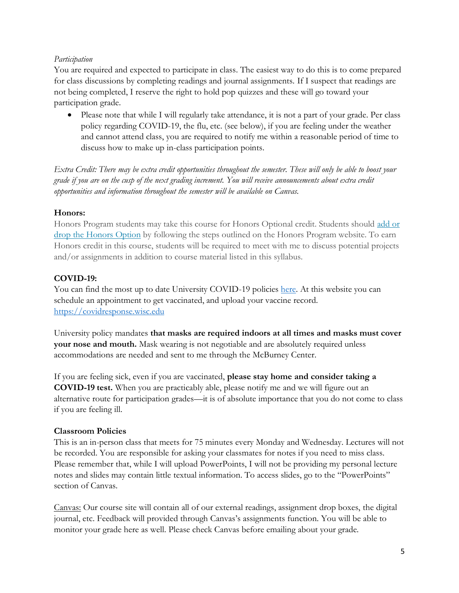#### *Participation*

You are required and expected to participate in class. The easiest way to do this is to come prepared for class discussions by completing readings and journal assignments. If I suspect that readings are not being completed, I reserve the right to hold pop quizzes and these will go toward your participation grade.

• Please note that while I will regularly take attendance, it is not a part of your grade. Per class policy regarding COVID-19, the flu, etc. (see below), if you are feeling under the weather and cannot attend class, you are required to notify me within a reasonable period of time to discuss how to make up in-class participation points.

*Extra Credit: There may be extra credit opportunities throughout the semester. These will only be able to boost your grade if you are on the cusp of the next grading increment. You will receive announcements about extra credit opportunities and information throughout the semester will be available on Canvas.*

#### **Honors:**

Honors Program students may take this course for Honors Optional credit. Students should [add](https://honors.ls.wisc.edu/add-or-drop-honors/) or drop the [Honors](https://honors.ls.wisc.edu/add-or-drop-honors/) Option by following the steps outlined on the Honors Program website. To earn Honors credit in this course, students will be required to meet with me to discuss potential projects and/or assignments in addition to course material listed in this syllabus.

#### **COVID-19:**

You can find the most up to date University COVID-19 policies [here.](https://covidresponse.wisc.edu/) At this website you can schedule an appointment to get vaccinated, and upload your vaccine record. [https://covidresponse.wisc.edu](https://covidresponse.wisc.edu/)

University policy mandates **that masks are required indoors at all times and masks must cover your nose and mouth.** Mask wearing is not negotiable and are absolutely required unless accommodations are needed and sent to me through the McBurney Center.

If you are feeling sick, even if you are vaccinated, **please stay home and consider taking a COVID-19 test.** When you are practicably able, please notify me and we will figure out an alternative route for participation grades—it is of absolute importance that you do not come to class if you are feeling ill.

#### **Classroom Policies**

This is an in-person class that meets for 75 minutes every Monday and Wednesday. Lectures will not be recorded. You are responsible for asking your classmates for notes if you need to miss class. Please remember that, while I will upload PowerPoints, I will not be providing my personal lecture notes and slides may contain little textual information. To access slides, go to the "PowerPoints" section of Canvas.

Canvas: Our course site will contain all of our external readings, assignment drop boxes, the digital journal, etc. Feedback will provided through Canvas's assignments function. You will be able to monitor your grade here as well. Please check Canvas before emailing about your grade.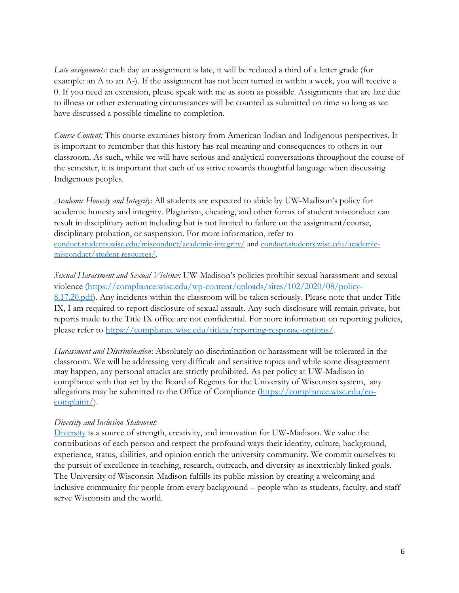*Late assignments:* each day an assignment is late, it will be reduced a third of a letter grade (for example: an A to an A-). If the assignment has not been turned in within a week, you will receive a 0. If you need an extension, please speak with me as soon as possible. Assignments that are late due to illness or other extenuating circumstances will be counted as submitted on time so long as we have discussed a possible timeline to completion.

*Course Content:* This course examines history from American Indian and Indigenous perspectives. It is important to remember that this history has real meaning and consequences to others in our classroom. As such, while we will have serious and analytical conversations throughout the course of the semester, it is important that each of us strive towards thoughtful language when discussing Indigenous peoples.

*Academic Honesty and Integrity*: All students are expected to abide by UW-Madison's policy for academic honesty and integrity. Plagiarism, cheating, and other forms of student misconduct can result in disciplinary action including but is not limited to failure on the assignment/course, disciplinary probation, or suspension. For more information, refer to [conduct.students.wisc.edu/misconduct/academic-integrity/](https://conduct.students.wisc.edu/misconduct/academic-integrity/) an[d conduct.students.wisc.edu/academic](https://conduct.students.wisc.edu/academic-misconduct/student-resources/)[misconduct/student-resources/.](https://conduct.students.wisc.edu/academic-misconduct/student-resources/)

*Sexual Harassment and Sexual Violence:* UW-Madison's policies prohibit sexual harassment and sexual violence [\(https://compliance.wisc.edu/wp-content/uploads/sites/102/2020/08/policy-](https://compliance.wisc.edu/wp-content/uploads/sites/102/2020/08/policy-8.17.20.pdf)[8.17.20.pdf\)](https://compliance.wisc.edu/wp-content/uploads/sites/102/2020/08/policy-8.17.20.pdf). Any incidents within the classroom will be taken seriously. Please note that under Title IX, I am required to report disclosure of sexual assault. Any such disclosure will remain private, but reports made to the Title IX office are not confidential. For more information on reporting policies, please refer to [https://compliance.wisc.edu/titleix/reporting-response-options/.](https://compliance.wisc.edu/titleix/reporting-response-options/)

*Harassment and Discrimination*: Absolutely no discrimination or harassment will be tolerated in the classroom. We will be addressing very difficult and sensitive topics and while some disagreement may happen, any personal attacks are strictly prohibited. As per policy at UW-Madison in compliance with that set by the Board of Regents for the University of Wisconsin system, any allegations may be submitted to the Office of Compliance [\(https://compliance.wisc.edu/eo](https://compliance.wisc.edu/eo-complaint/)[complaint/\)](https://compliance.wisc.edu/eo-complaint/).

#### *Diversity and Inclusion Statement:*

[Diversity](https://diversity.wisc.edu/) is a source of strength, creativity, and innovation for UW-Madison. We value the contributions of each person and respect the profound ways their identity, culture, background, experience, status, abilities, and opinion enrich the university community. We commit ourselves to the pursuit of excellence in teaching, research, outreach, and diversity as inextricably linked goals. The University of Wisconsin-Madison fulfills its public mission by creating a welcoming and inclusive community for people from every background – people who as students, faculty, and staff serve Wisconsin and the world.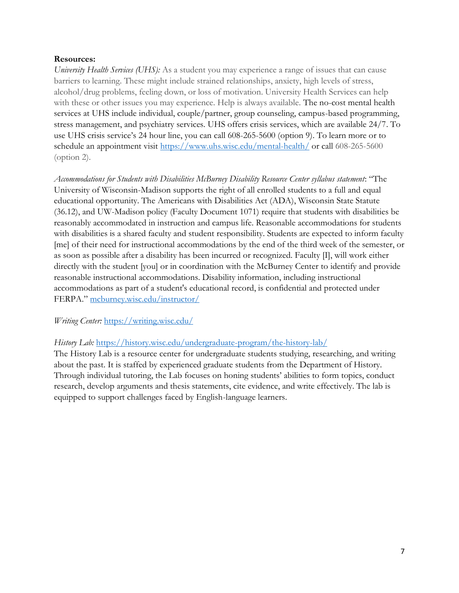#### **Resources:**

*University Health Services (UHS):* As a student you may experience a range of issues that can cause barriers to learning. These might include strained relationships, anxiety, high levels of stress, alcohol/drug problems, feeling down, or loss of motivation. University Health Services can help with these or other issues you may experience. Help is always available. The no-cost mental health services at UHS include individual, couple/partner, group counseling, campus-based programming, stress management, and psychiatry services. UHS offers crisis services, which are available 24/7. To use UHS crisis service's 24 hour line, you can call 608-265-5600 (option 9). To learn more or to schedule an appointment visit<https://www.uhs.wisc.edu/mental-health/> or call 608-265-5600 (option 2).

*Accommodations for Students with Disabilities McBurney Disability Resource Center syllabus statement*: "The University of Wisconsin-Madison supports the right of all enrolled students to a full and equal educational opportunity. The Americans with Disabilities Act (ADA), Wisconsin State Statute (36.12), and UW-Madison policy (Faculty Document 1071) require that students with disabilities be reasonably accommodated in instruction and campus life. Reasonable accommodations for students with disabilities is a shared faculty and student responsibility. Students are expected to inform faculty [me] of their need for instructional accommodations by the end of the third week of the semester, or as soon as possible after a disability has been incurred or recognized. Faculty [I], will work either directly with the student [you] or in coordination with the McBurney Center to identify and provide reasonable instructional accommodations. Disability information, including instructional accommodations as part of a student's educational record, is confidential and protected under FERPA." [mcburney.wisc.edu/instructor/](https://mcburney.wisc.edu/instructor/)

## *Writing Center:* <https://writing.wisc.edu/>

## *History Lab:* <https://history.wisc.edu/undergraduate-program/the-history-lab/>

The History Lab is a resource center for undergraduate students studying, researching, and writing about the past. It is staffed by experienced graduate students from the Department of History. Through individual tutoring, the Lab focuses on honing students' abilities to form topics, conduct research, develop arguments and thesis statements, cite evidence, and write effectively. The lab is equipped to support challenges faced by English-language learners.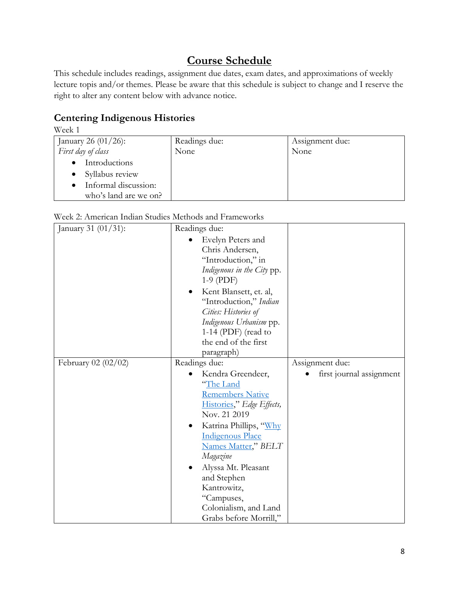# **Course Schedule**

This schedule includes readings, assignment due dates, exam dates, and approximations of weekly lecture topis and/or themes. Please be aware that this schedule is subject to change and I reserve the right to alter any content below with advance notice.

## **Centering Indigenous Histories**

| Week 1                 |               |                 |
|------------------------|---------------|-----------------|
| January 26 $(01/26)$ : | Readings due: | Assignment due: |
| First day of class     | None          | None            |
| Introductions          |               |                 |
| Syllabus review        |               |                 |
| Informal discussion:   |               |                 |
| who's land are we on?  |               |                 |

| Week 2: American Indian Studies Methods and Frameworks |  |  |  |
|--------------------------------------------------------|--|--|--|
|                                                        |  |  |  |

| January 31 (01/31): | Readings due:                                                                                                                                                                                                                                                               |                          |
|---------------------|-----------------------------------------------------------------------------------------------------------------------------------------------------------------------------------------------------------------------------------------------------------------------------|--------------------------|
|                     | Evelyn Peters and<br>Chris Andersen,<br>"Introduction," in<br>Indigenous in the City pp.<br>$1-9$ (PDF)<br>Kent Blansett, et. al,<br>"Introduction," Indian<br>Cities: Histories of<br>Indigenous Urbanism pp.<br>1-14 (PDF) (read to<br>the end of the first<br>paragraph) |                          |
| February 02 (02/02) | Readings due:                                                                                                                                                                                                                                                               | Assignment due:          |
|                     | Kendra Greendeer,<br>"The Land<br><b>Remembers Native</b><br>Histories," Edge Effects,<br>Nov. 21 2019                                                                                                                                                                      | first journal assignment |
|                     | Katrina Phillips, "Why<br>٠<br><b>Indigenous Place</b><br>Names Matter," BELT<br>Magazine<br>Alyssa Mt. Pleasant<br>and Stephen<br>Kantrowitz,<br>"Campuses,<br>Colonialism, and Land<br>Grabs before Morrill,"                                                             |                          |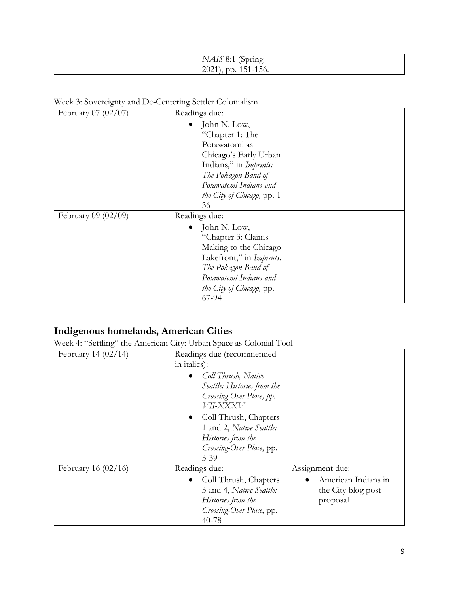| $\sqrt{2}$<br>N.<br>$1 \times 110$<br>$\mathbf{U} \cdot \mathbf{I}$<br>2021<br>$\sim$ | (Spring<br>ິ<br>151-156. |
|---------------------------------------------------------------------------------------|--------------------------|
|---------------------------------------------------------------------------------------|--------------------------|

Week 3: Sovereignty and De-Centering Settler Colonialism

| February 07 (02/07) | Readings due:               |  |
|---------------------|-----------------------------|--|
|                     | John N. Low,                |  |
|                     | "Chapter 1: The             |  |
|                     | Potawatomi as               |  |
|                     | Chicago's Early Urban       |  |
|                     | Indians," in Imprints:      |  |
|                     | The Pokagon Band of         |  |
|                     | Potawatomi Indians and      |  |
|                     | the City of Chicago, pp. 1- |  |
|                     | 36                          |  |
| February 09 (02/09) | Readings due:               |  |
|                     | John N. Low,                |  |
|                     | "Chapter 3: Claims          |  |
|                     | Making to the Chicago       |  |
|                     | Lakefront," in Imprints:    |  |
|                     | The Pokagon Band of         |  |
|                     | Potawatomi Indians and      |  |
|                     | the City of Chicago, pp.    |  |
|                     | 67-94                       |  |

# **Indigenous homelands, American Cities**

Week 4: "Settling" the American City: Urban Space as Colonial Tool

| February 14 $(02/14)$ | Readings due (recommended   |                     |
|-----------------------|-----------------------------|---------------------|
|                       | in italics):                |                     |
|                       | Coll Thrush, Native         |                     |
|                       | Seattle: Histories from the |                     |
|                       | Crossing-Over Place, pp.    |                     |
|                       | VII-XXXV                    |                     |
|                       | Coll Thrush, Chapters       |                     |
|                       | 1 and 2, Native Seattle:    |                     |
|                       | Histories from the          |                     |
|                       | Crossing-Over Place, pp.    |                     |
|                       | $3 - 39$                    |                     |
| February 16 $(02/16)$ | Readings due:               | Assignment due:     |
|                       | Coll Thrush, Chapters       | American Indians in |
|                       | 3 and 4, Native Seattle:    | the City blog post  |
|                       | Histories from the          | proposal            |
|                       | Crossing-Over Place, pp.    |                     |
|                       | 40-78                       |                     |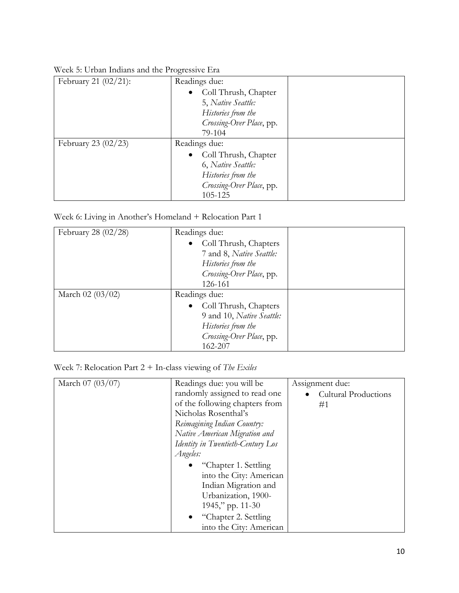| February 21 (02/21):  | Readings due:            |  |
|-----------------------|--------------------------|--|
|                       | • Coll Thrush, Chapter   |  |
|                       | 5, Native Seattle:       |  |
|                       | Histories from the       |  |
|                       | Crossing-Over Place, pp. |  |
|                       | 79-104                   |  |
| February 23 $(02/23)$ | Readings due:            |  |
|                       | • Coll Thrush, Chapter   |  |
|                       | 6, Native Seattle:       |  |
|                       | Histories from the       |  |
|                       | Crossing-Over Place, pp. |  |
|                       | 105-125                  |  |

Week 5: Urban Indians and the Progressive Era

Week 6: Living in Another's Homeland + Relocation Part 1

| February 28 $(02/28)$ | Readings due:             |  |
|-----------------------|---------------------------|--|
|                       | • Coll Thrush, Chapters   |  |
|                       | 7 and 8, Native Seattle:  |  |
|                       | Histories from the        |  |
|                       | Crossing-Over Place, pp.  |  |
|                       | 126-161                   |  |
| March $02(03/02)$     | Readings due:             |  |
|                       | • Coll Thrush, Chapters   |  |
|                       | 9 and 10, Native Seattle: |  |
|                       | Histories from the        |  |
|                       | Crossing-Over Place, pp.  |  |
|                       | 162-207                   |  |

Week 7: Relocation Part 2 + In-class viewing of *The Exiles*

| March 07 (03/07) | Readings due: you will be         | Assignment due:             |
|------------------|-----------------------------------|-----------------------------|
|                  | randomly assigned to read one     | <b>Cultural Productions</b> |
|                  | of the following chapters from    | #1                          |
|                  | Nicholas Rosenthal's              |                             |
|                  | Reimagining Indian Country:       |                             |
|                  | Native American Migration and     |                             |
|                  | Identity in Twentieth-Century Los |                             |
|                  | Angeles:                          |                             |
|                  | "Chapter 1. Settling"             |                             |
|                  | into the City: American           |                             |
|                  | Indian Migration and              |                             |
|                  | Urbanization, 1900-               |                             |
|                  | $1945$ ," pp. 11-30               |                             |
|                  | "Chapter 2. Settling              |                             |
|                  | into the City: American           |                             |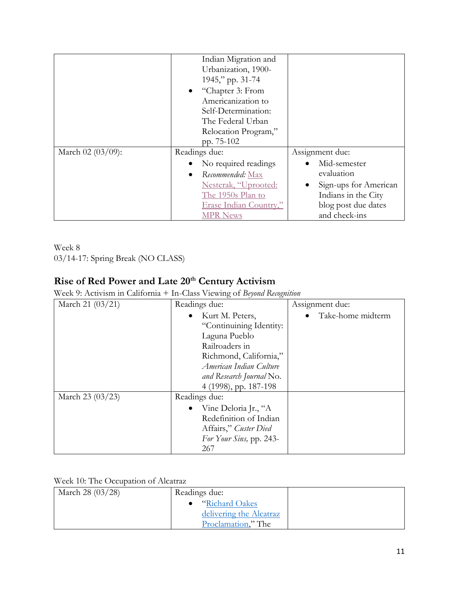|                   | Indian Migration and          |                       |
|-------------------|-------------------------------|-----------------------|
|                   | Urbanization, 1900-           |                       |
|                   | 1945," pp. 31-74              |                       |
|                   | • "Chapter 3: From            |                       |
|                   | Americanization to            |                       |
|                   | Self-Determination:           |                       |
|                   | The Federal Urban             |                       |
|                   | Relocation Program,"          |                       |
|                   | pp. 75-102                    |                       |
| March 02 (03/09): | Readings due:                 | Assignment due:       |
|                   | No required readings          | Mid-semester          |
|                   | Recommended: Max<br>$\bullet$ | evaluation            |
|                   | Nesterak, "Uprooted:          | Sign-ups for American |
|                   | The 1950s Plan to             | Indians in the City   |
|                   | Erase Indian Country,"        | blog post due dates   |
|                   | <b>MPR News</b>               | and check-ins         |

Week 8 03/14-17: Spring Break (NO CLASS)

## **Rise of Red Power and Late 20th Century Activism**

Week 9: Activism in California + In-Class Viewing of *Beyond Recognition*

| March 21 (03/21) | Readings due:            | Assignment due:   |
|------------------|--------------------------|-------------------|
|                  | Kurt M. Peters,          | Take-home midterm |
|                  | "Continuining Identity:  |                   |
|                  | Laguna Pueblo            |                   |
|                  | Railroaders in           |                   |
|                  | Richmond, California,"   |                   |
|                  | American Indian Culture  |                   |
|                  | and Research Journal No. |                   |
|                  | 4 (1998), pp. 187-198    |                   |
| March 23 (03/23) | Readings due:            |                   |
|                  | • Vine Deloria Jr., "A   |                   |
|                  | Redefinition of Indian   |                   |
|                  | Affairs," Custer Died    |                   |
|                  | For Your Sins, pp. 243-  |                   |
|                  | 267                      |                   |

## Week 10: The Occupation of Alcatraz

| March 28 (03/28) | Readings due:           |  |
|------------------|-------------------------|--|
|                  | "Richard Oakes"         |  |
|                  | delivering the Alcatraz |  |
|                  | Proclamation," The      |  |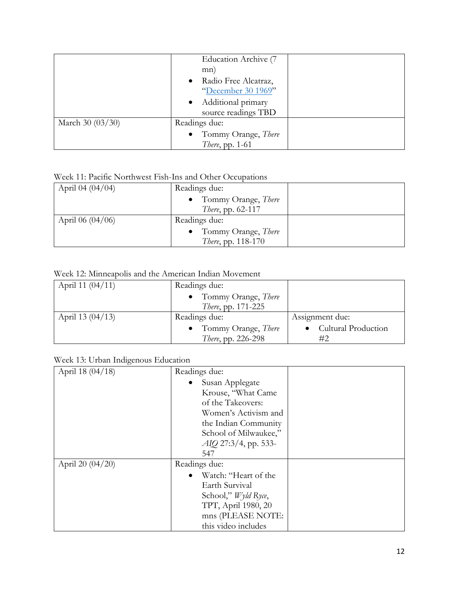|                  | Education Archive (7<br>mn)<br>Radio Free Alcatraz,<br>$\bullet$<br>"December 30 1969"<br>• Additional primary<br>source readings TBD |  |
|------------------|---------------------------------------------------------------------------------------------------------------------------------------|--|
| March 30 (03/30) | Readings due:<br>Tommy Orange, There<br><i>There</i> , pp. 1-61                                                                       |  |

## Week 11: Pacific Northwest Fish-Ins and Other Occupations

| April 04 $(04/04)$ | Readings due:              |  |
|--------------------|----------------------------|--|
|                    | Tommy Orange, There        |  |
|                    | <i>There</i> , pp. 62-117  |  |
| April 06 $(04/06)$ | Readings due:              |  |
|                    | Tommy Orange, There        |  |
|                    | <i>There</i> , pp. 118-170 |  |

## Week 12: Minneapolis and the American Indian Movement

| April 11 $(04/11)$ | Readings due:              |                     |
|--------------------|----------------------------|---------------------|
|                    | • Tommy Orange, There      |                     |
|                    | <i>There</i> , pp. 171-225 |                     |
| April 13 $(04/13)$ | Readings due:              | Assignment due:     |
|                    | • Tommy Orange, There      | Cultural Production |
|                    | There, pp. 226-298         | #2                  |

## Week 13: Urban Indigenous Education

| April 18 (04/18) | Readings due:                                                                                                                                                          |  |
|------------------|------------------------------------------------------------------------------------------------------------------------------------------------------------------------|--|
|                  | • Susan Applegate<br>Krouse, "What Came<br>of the Takeovers:<br>Women's Activism and<br>the Indian Community<br>School of Milwaukee,"<br>$AIQ$ 27:3/4, pp. 533-<br>547 |  |
| April 20 (04/20) | Readings due:<br>Watch: "Heart of the<br>Earth Survival<br>School," Wyld Ryce,<br>TPT, April 1980, 20<br>mns (PLEASE NOTE:<br>this video includes                      |  |